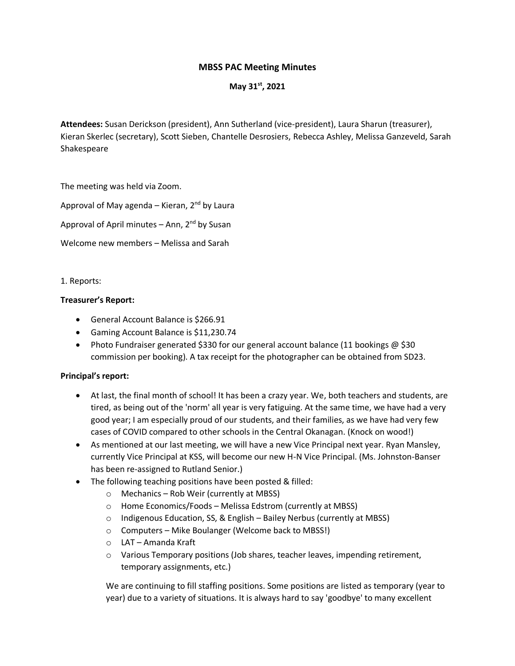# **MBSS PAC Meeting Minutes**

# **May 31st , 2021**

**Attendees:** Susan Derickson (president), Ann Sutherland (vice-president), Laura Sharun (treasurer), Kieran Skerlec (secretary), Scott Sieben, Chantelle Desrosiers, Rebecca Ashley, Melissa Ganzeveld, Sarah Shakespeare

The meeting was held via Zoom.

Approval of May agenda – Kieran,  $2<sup>nd</sup>$  by Laura

Approval of April minutes – Ann,  $2<sup>nd</sup>$  by Susan

Welcome new members – Melissa and Sarah

1. Reports:

#### **Treasurer's Report:**

- General Account Balance is \$266.91
- Gaming Account Balance is \$11,230.74
- Photo Fundraiser generated \$330 for our general account balance (11 bookings @ \$30 commission per booking). A tax receipt for the photographer can be obtained from SD23.

#### **Principal's report:**

- At last, the final month of school! It has been a crazy year. We, both teachers and students, are tired, as being out of the 'norm' all year is very fatiguing. At the same time, we have had a very good year; I am especially proud of our students, and their families, as we have had very few cases of COVID compared to other schools in the Central Okanagan. (Knock on wood!)
- As mentioned at our last meeting, we will have a new Vice Principal next year. Ryan Mansley, currently Vice Principal at KSS, will become our new H-N Vice Principal. (Ms. Johnston-Banser has been re-assigned to Rutland Senior.)
- The following teaching positions have been posted & filled:
	- o Mechanics Rob Weir (currently at MBSS)
	- o Home Economics/Foods Melissa Edstrom (currently at MBSS)
	- o Indigenous Education, SS, & English Bailey Nerbus (currently at MBSS)
	- o Computers Mike Boulanger (Welcome back to MBSS!)
	- o LAT Amanda Kraft
	- $\circ$  Various Temporary positions (Job shares, teacher leaves, impending retirement, temporary assignments, etc.)

We are continuing to fill staffing positions. Some positions are listed as temporary (year to year) due to a variety of situations. It is always hard to say 'goodbye' to many excellent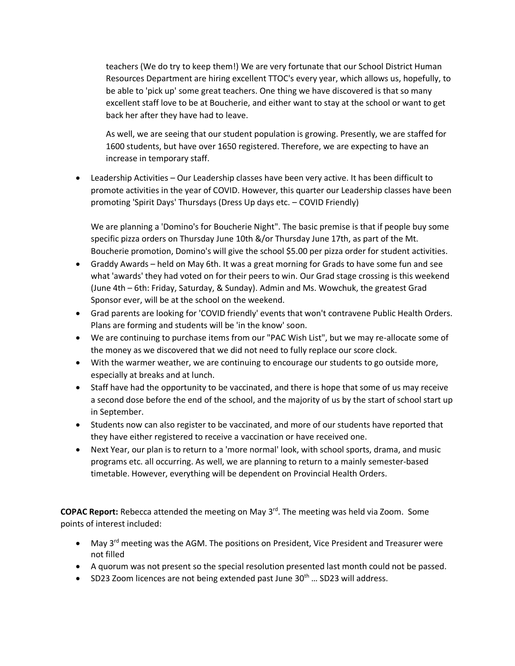teachers (We do try to keep them!) We are very fortunate that our School District Human Resources Department are hiring excellent TTOC's every year, which allows us, hopefully, to be able to 'pick up' some great teachers. One thing we have discovered is that so many excellent staff love to be at Boucherie, and either want to stay at the school or want to get back her after they have had to leave.

As well, we are seeing that our student population is growing. Presently, we are staffed for 1600 students, but have over 1650 registered. Therefore, we are expecting to have an increase in temporary staff.

• Leadership Activities – Our Leadership classes have been very active. It has been difficult to promote activities in the year of COVID. However, this quarter our Leadership classes have been promoting 'Spirit Days' Thursdays (Dress Up days etc. – COVID Friendly)

We are planning a 'Domino's for Boucherie Night". The basic premise is that if people buy some specific pizza orders on Thursday June 10th &/or Thursday June 17th, as part of the Mt. Boucherie promotion, Domino's will give the school \$5.00 per pizza order for student activities.

- Graddy Awards held on May 6th. It was a great morning for Grads to have some fun and see what 'awards' they had voted on for their peers to win. Our Grad stage crossing is this weekend (June 4th – 6th: Friday, Saturday, & Sunday). Admin and Ms. Wowchuk, the greatest Grad Sponsor ever, will be at the school on the weekend.
- Grad parents are looking for 'COVID friendly' events that won't contravene Public Health Orders. Plans are forming and students will be 'in the know' soon.
- We are continuing to purchase items from our "PAC Wish List", but we may re-allocate some of the money as we discovered that we did not need to fully replace our score clock.
- With the warmer weather, we are continuing to encourage our students to go outside more, especially at breaks and at lunch.
- Staff have had the opportunity to be vaccinated, and there is hope that some of us may receive a second dose before the end of the school, and the majority of us by the start of school start up in September.
- Students now can also register to be vaccinated, and more of our students have reported that they have either registered to receive a vaccination or have received one.
- Next Year, our plan is to return to a 'more normal' look, with school sports, drama, and music programs etc. all occurring. As well, we are planning to return to a mainly semester-based timetable. However, everything will be dependent on Provincial Health Orders.

COPAC Report: Rebecca attended the meeting on May 3<sup>rd</sup>. The meeting was held via Zoom. Some points of interest included:

- May  $3^{rd}$  meeting was the AGM. The positions on President, Vice President and Treasurer were not filled
- A quorum was not present so the special resolution presented last month could not be passed.
- SD23 Zoom licences are not being extended past June  $30<sup>th</sup>$  ... SD23 will address.